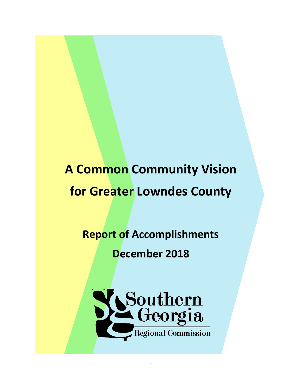## **A Common Community Vision for Greater Lowndes County**

## **Report of Accomplishments**

## **December 2018**

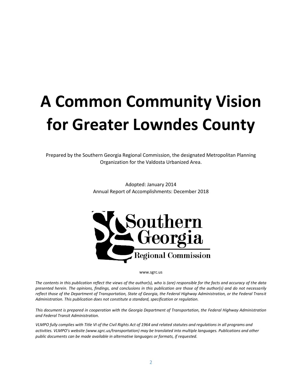# **A Common Community Vision for Greater Lowndes County**

Prepared by the Southern Georgia Regional Commission, the designated Metropolitan Planning Organization for the Valdosta Urbanized Area.

> Adopted: January 2014 Annual Report of Accomplishments: December 2018



www.sgrc.us

*The contents in this publication reflect the views of the author(s), who is (are) responsible for the facts and accuracy of the data presented herein. The opinions, findings, and conclusions in this publication are those of the author(s) and do not necessarily reflect those of the Department of Transportation, State of Georgia, the Federal Highway Administration, or the Federal Transit Administration. This publication does not constitute a standard, specification or regulation.* 

*This document is prepared in cooperation with the Georgia Department of Transportation, the Federal Highway Administration and Federal Transit Administration.*

*VLMPO fully complies with Title VI of the Civil Rights Act of 1964 and related statutes and regulations in all programs and activities. VLMPO's website (www.sgrc.us/transportation) may be translated into multiple languages. Publications and other public documents can be made available in alternative languages or formats, if requested.*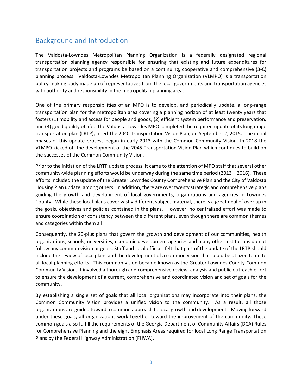#### Background and Introduction

The Valdosta-Lowndes Metropolitan Planning Organization is a federally designated regional transportation planning agency responsible for ensuring that existing and future expenditures for transportation projects and programs be based on a continuing, cooperative and comprehensive (3-C) planning process. Valdosta-Lowndes Metropolitan Planning Organization (VLMPO) is a transportation policy-making body made up of representatives from the local governments and transportation agencies with authority and responsibility in the metropolitan planning area.

One of the primary responsibilities of an MPO is to develop, and periodically update, a long-range transportation plan for the metropolitan area covering a planning horizon of at least twenty years that fosters (1) mobility and access for people and goods, (2) efficient system performance and preservation, and (3) good quality of life. The Valdosta-Lowndes MPO completed the required update of its long range transportation plan (LRTP), titled The 2040 Transportation Vision Plan, on September 2, 2015. The initial phases of this update process began in early 2013 with the Common Community Vision. In 2018 the VLMPO kicked off the development of the 2045 Transportation Vision Plan which continues to build on the successes of the Common Community Vision.

Prior to the initiation of the LRTP update process, it came to the attention of MPO staff that several other community-wide planning efforts would be underway during the same time period (2013 – 2016). These efforts included the update of the Greater Lowndes County Comprehensive Plan and the City of Valdosta Housing Plan update, among others. In addition, there are over twenty strategic and comprehensive plans guiding the growth and development of local governments, organizations and agencies in Lowndes County. While these local plans cover vastly different subject material, there is a great deal of overlap in the goals, objectives and policies contained in the plans. However, no centralized effort was made to ensure coordination or consistency between the different plans, even though there are common themes and categories within them all.

Consequently, the 20-plus plans that govern the growth and development of our communities, health organizations, schools, universities, economic development agencies and many other institutions do not follow any common vision or goals. Staff and local officials felt that part of the update of the LRTP should include the review of local plans and the development of a common vision that could be utilized to unite all local planning efforts. This common vision became known as the Greater Lowndes County Common Community Vision. It involved a thorough and comprehensive review, analysis and public outreach effort to ensure the development of a current, comprehensive and coordinated vision and set of goals for the community.

By establishing a single set of goals that all local organizations may incorporate into their plans, the Common Community Vision provides a unified vision to the community. As a result, all those organizations are guided toward a common approach to local growth and development. Moving forward under these goals, all organizations work together toward the improvement of the community. These common goals also fulfill the requirements of the Georgia Department of Community Affairs (DCA) Rules for Comprehensive Planning and the eight Emphasis Areas required for local Long Range Transportation Plans by the Federal Highway Administration (FHWA).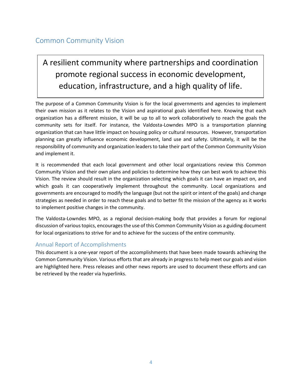#### Common Community Vision

### A resilient community where partnerships and coordination promote regional success in economic development, education, infrastructure, and a high quality of life.

The purpose of a Common Community Vision is for the local governments and agencies to implement their own mission as it relates to the Vision and aspirational goals identified here. Knowing that each organization has a different mission, it will be up to all to work collaboratively to reach the goals the community sets for itself. For instance, the Valdosta-Lowndes MPO is a transportation planning organization that can have little impact on housing policy or cultural resources. However, transportation planning can greatly influence economic development, land use and safety. Ultimately, it will be the responsibility of community and organization leaders to take their part of the Common Community Vision and implement it.

It is recommended that each local government and other local organizations review this Common Community Vision and their own plans and policies to determine how they can best work to achieve this Vision. The review should result in the organization selecting which goals it can have an impact on, and which goals it can cooperatively implement throughout the community. Local organizations and governments are encouraged to modify the language (but not the spirit or intent of the goals) and change strategies as needed in order to reach these goals and to better fit the mission of the agency as it works to implement positive changes in the community.

The Valdosta-Lowndes MPO, as a regional decision-making body that provides a forum for regional discussion of various topics, encourages the use of this Common Community Vision as a guiding document for local organizations to strive for and to achieve for the success of the entire community.

#### Annual Report of Accomplishments

This document is a one-year report of the accomplishments that have been made towards achieving the Common Community Vision. Various efforts that are already in progress to help meet our goals and vision are highlighted here. Press releases and other news reports are used to document these efforts and can be retrieved by the reader via hyperlinks.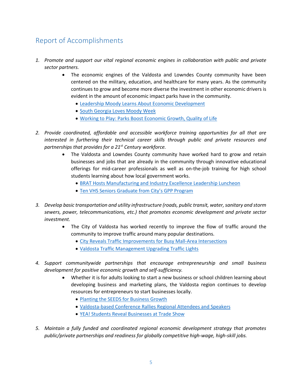#### Report of Accomplishments

- *1. Promote and support our vital regional economic engines in collaboration with public and private sector partners.*
	- The economic engines of the Valdosta and Lowndes County community have been centered on the military, education, and healthcare for many years. As the community continues to grow and become more diverse the investment in other economic drivers is evident in the amount of economic impact parks have in the community.
		- [Leadership Moody Learns About Economic Development](http://www.buildlowndes.com/news/article/leadership-moody-learns-about-economic-development)
		- **.** [South Georgia Loves Moody Week](https://www.valdostacity.com/south-georgia-loves-moody-week)
		- [Working to Play: Parks Boost Economic Growth, Quality of Life](https://www.tiftongazette.com/news/working-to-play-parks-boost-economic-growth-quality-of-life/article_89bd33c6-1322-11e7-abe2-f3ebe8c245e1.html)
- *2. Provide coordinated, affordable and accessible workforce training opportunities for all that are interested in furthering their technical career skills through public and private resources and partnerships that provides for a 21st Century workforce.*
	- The Valdosta and Lowndes County community have worked hard to grow and retain businesses and jobs that are already in the community through innovative educational offerings for mid-career professionals as well as on-the-job training for high school students learning about how local government works.
		- [BRAT Hosts Manufacturing and Industry Excellence Leadership Luncheon](http://www.buildlowndes.com/news/article/brat-hosts-manufacturing-and-industry-excellence-leadership-luncheon)
		- [Ten VHS Seniors Graduate from City's GPP Program](https://www.valdostacity.com/ten-vhs-seniors-graduate-from-city%E2%80%99s-gpp-program)
- *3. Develop basic transportation and utility infrastructure (roads, public transit, water, sanitary and storm sewers, power, telecommunications, etc.) that promotes economic development and private sector investment.* 
	- The City of Valdosta has worked recently to improve the flow of traffic around the community to improve traffic around many popular destinations.
		- [City Reveals Traffic Improvements for Busy Mall-Area Intersections](https://www.valdostacity.com/city-reveals-traffic-improvements-for-busy-mall-area-intersections)
		- [Valdosta Traffic Management Upgrading Traffic Lights](https://www.valdostacity.com/valdosta-traffic-management-upgrading-traffic-lights)
- *4. Support communitywide partnerships that encourage entrepreneurship and small business development for positive economic growth and self-sufficiency.*
	- Whether it is for adults looking to start a new business or school children learning about developing business and marketing plans, the Valdosta region continues to develop resources for entrepreneurs to start businesses locally.
		- [Planting the SEEDS for Business Growth](https://www.valdostachamber.com/newsblog/planting-the-seeds-for-business-growth)
		- [Valdosta-based Conference Rallies Regional Attendees and Speakers](https://www.valdostachamber.com/newsblog/category/prongs-of-the-chamber)
		- YEA! Students [Reveal Businesses at Trade Show](https://www.valdostadailytimes.com/news/local_news/yea-students-reveal-businesses-at-trade-show/article_7e80f6bd-08d7-5341-8c71-aa65ff98daf2.html)
- *5. Maintain a fully funded and coordinated regional economic development strategy that promotes public/private partnerships and readiness for globally competitive high-wage, high-skill jobs.*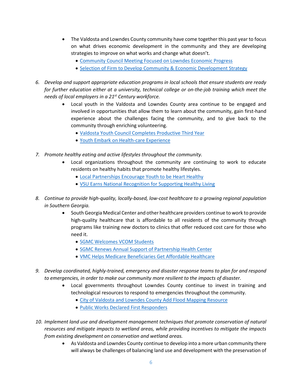- The Valdosta and Lowndes County community have come together this past year to focus on what drives economic development in the community and they are developing strategies to improve on what works and change what doesn't.
	- [Community Council Meeting Focused on Lowndes Economic Progress](https://www.valdostachamber.com/newsblog/community-council-meeting-focused-on-lowndes-economic-progress)
	- [Selection of Firm to Develop Community & Economic Development Strategy](https://onevaldostalowndes.com/valdosta-lowndes-region-announces-selection-of-visionfirst-advisors-to-develop-community-economic-development-strategy/)
- *6. Develop and support appropriate education programs in local schools that ensure students are ready for further education either at a university, technical college or on-the-job training which meet the needs of local employers in a 21st Century workforce.*
	- Local youth in the Valdosta and Lowndes County area continue to be engaged and involved in opportunities that allow them to learn about the community, gain first-hand experience about the challenges facing the community, and to give back to the community through enriching volunteering.
		- [Valdosta Youth Council Completes Productive Third Year](https://www.valdostacity.com/valdosta-youth-council-completes-productive-third-year)
		- [Youth Embark on Health-care Experience](https://www.valdostadailytimes.com/news/local_news/youth-embark-on-health-care-experience/article_3c3f3f12-07ab-50ec-9cff-4d5e41303ea7.html)
- *7. Promote healthy eating and active lifestyles throughout the community.*
	- Local organizations throughout the community are continuing to work to educate residents on healthy habits that promote healthy lifestyles.
		- [Local Partnerships Encourage Youth to be Heart Healthy](http://www.sgmc.org/Articles/local_partnerships_encourage_youth_to_be_heart_healthy.aspx)
		- [VSU Earns National Recognition for Supporting Healthy Living](https://www.valdosta.edu/about/news/releases/2018/06/vsu-earns-national-recognition-for-supporting-healthy-living.php)
- *8. Continue to provide high-quality, locally-based, low-cost healthcare to a growing regional population in Southern Georgia.*
	- South Georgia Medical Center and other healthcare providers continue to work to provide high-quality healthcare that is affordable to all residents of the community through programs like training new doctors to clinics that offer reduced cost care for those who need it.
		- [SGMC Welcomes VCOM Students](http://www.sgmc.org/Articles/sgmc_welcomes_vcom_students.aspx)
		- **[SGMC Renews Annual Support of Partnership Health Center](http://www.sgmc.org/Articles/sgmc_renews_annual_support_of_partnership_health_center.aspx)**
		- [VMC Helps Medicare Beneficiaries Get Affordable Healthcare](http://valdostatoday.com/news-2/local/2018/10/valdosta-medical-clinic-helps-medicare-beneficiaries-get-affordable-healthcare/)
- *9. Develop coordinated, highly-trained, emergency and disaster response teams to plan for and respond to emergencies, in order to make our community more resilient to the impacts of disaster.*
	- Local governments throughout Lowndes County continue to invest in training and technological resources to respond to emergencies throughout the community.
		- [City of Valdosta and Lowndes County Add Flood Mapping Resource](https://www.valdostacity.com/city-of-valdosta-and-lowndes-co-add-flood-mapping-resource-)
		- [Public Works Declared First Responders](https://www.valdostadailytimes.com/news/local_news/public-works-declared-first-responders/article_3827b15d-3f61-5191-a928-7351067678b6.html)
- *10. Implement land use and development management techniques that promote conservation of natural resources and mitigate impacts to wetland areas, while providing incentives to mitigate the impacts from existing development on conservation and wetland areas.*
	- As Valdosta and Lowndes County continue to develop into a more urban community there will always be challenges of balancing land use and development with the preservation of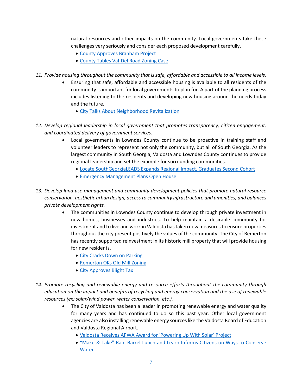natural resources and other impacts on the community. Local governments take these challenges very seriously and consider each proposed development carefully.

- [County Approves Branham Project](https://www.valdostadailytimes.com/news/local_news/county-approves-branham-project/article_5ff5b3c7-03ef-5663-be23-3eb93e352d0c.html)
- [County Tables Val-Del Road Zoning Case](https://www.valdostadailytimes.com/news/local_news/county-tables-zoning-case/article_e395514c-60f6-5e1b-a7e6-e2af61966f10.html)
- *11. Provide housing throughout the community that is safe, affordable and accessible to all income levels.*
	- Ensuring that safe, affordable and accessible housing is available to all residents of the community is important for local governments to plan for. A part of the planning process includes listening to the residents and developing new housing around the needs today and the future.
		- [City Talks About Neighborhood Revitalization](https://www.valdostacity.com/city-sets-stage-for-talks-about-neighborhood-revitalization)
- *12. Develop regional leadership in local government that promotes transparency, citizen engagement, and coordinated delivery of government services.*
	- Local governments in Lowndes County continue to be proactive in training staff and volunteer leaders to represent not only the community, but all of South Georgia. As the largest community in South Georgia, Valdosta and Lowndes County continues to provide regional leadership and set the example for surrounding communities.
		- [Locate SouthGeorgiaLEADS Expands Regional Impact, Graduates Second Cohort](http://www.buildlowndes.com/news/article/locate-south-georgialeads-expands-regional-impact-graduates-second-cohort)
		- **[Emergency Management Plans Open House](https://www.valdostadailytimes.com/news/local_news/emergency-management-plans-open-house/article_217a3e1b-f6df-581c-a024-b502c7711ef8.html)**
- *13. Develop land use management and community development policies that promote natural resource conservation, aesthetic urban design, access to community infrastructure and amenities, and balances private development rights.*
	- The communities in Lowndes County continue to develop through private investment in new homes, businesses and industries. To help maintain a desirable community for investment and to live and work in Valdosta has taken new measures to ensure properties throughout the city present positively the values of the community. The City of Remerton has recently supported reinvestment in its historic mill property that will provide housing for new residents.
		- [City Cracks Down on Parking](https://www.valdostadailytimes.com/news/local_news/city-cracks-down-on-parking/article_98dd8a35-ad87-583f-9177-a30810c6c774.html)
		- [Remerton OKs Old Mill Zoning](https://www.valdostadailytimes.com/news/local_news/remerton-oks-old-mill-zoning/article_c746ba7f-abe5-539a-a82e-945b7f1e1a3e.html)
		- [City Approves Blight Tax](https://www.valdostadailytimes.com/news/local_news/city-approves-blight-tax/article_734aaf10-2a84-530f-b890-d22464452992.html)
- *14. Promote recycling and renewable energy and resource efforts throughout the community through education on the impact and benefits of recycling and energy conservation and the use of renewable resources (ex; solar/wind power, water conservation, etc.).*
	- The City of Valdosta has been a leader in promoting renewable energy and water quality for many years and has continued to do so this past year. Other local government agencies are also installing renewable energy sources like the Valdosta Board of Education and Valdosta Regional Airport.
		- [Valdosta Receives APWA Award for 'Powering Up With Solar' Project](https://www.valdostacity.com/valdosta-receives-apwa-award-for-%E2%80%98powering-up-with-solar%E2%80%99-project)
		- ["Make & Take" Rain Barrel Lunch and Learn Informs Citizens on Ways to Conserve](https://www.valdostacity.com/%E2%80%9Cmake-take%E2%80%9D-rain-barrel-lunch-and-learn-informs-citizens-on-ways-to-conserve-water)  [Water](https://www.valdostacity.com/%E2%80%9Cmake-take%E2%80%9D-rain-barrel-lunch-and-learn-informs-citizens-on-ways-to-conserve-water)